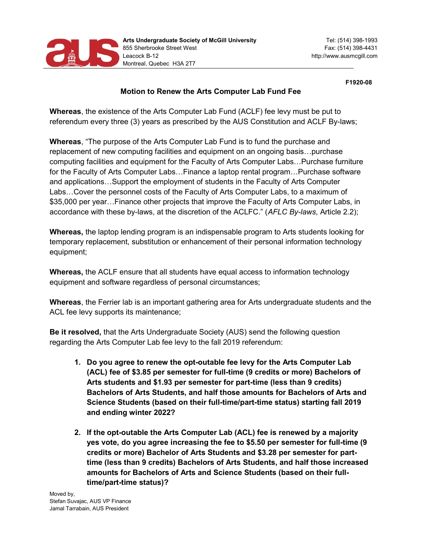

F1920-08

## Motion to Renew the Arts Computer Lab Fund Fee

Whereas, the existence of the Arts Computer Lab Fund (ACLF) fee levy must be put to referendum every three (3) years as prescribed by the AUS Constitution and ACLF By-laws;

Whereas, "The purpose of the Arts Computer Lab Fund is to fund the purchase and replacement of new computing facilities and equipment on an ongoing basis…purchase computing facilities and equipment for the Faculty of Arts Computer Labs…Purchase furniture for the Faculty of Arts Computer Labs…Finance a laptop rental program…Purchase software and applications…Support the employment of students in the Faculty of Arts Computer Labs…Cover the personnel costs of the Faculty of Arts Computer Labs, to a maximum of \$35,000 per year…Finance other projects that improve the Faculty of Arts Computer Labs, in accordance with these by-laws, at the discretion of the ACLFC." (AFLC By-laws, Article 2.2);

Whereas, the laptop lending program is an indispensable program to Arts students looking for temporary replacement, substitution or enhancement of their personal information technology equipment;

Whereas, the ACLF ensure that all students have equal access to information technology equipment and software regardless of personal circumstances;

Whereas, the Ferrier lab is an important gathering area for Arts undergraduate students and the ACL fee levy supports its maintenance;

Be it resolved, that the Arts Undergraduate Society (AUS) send the following question regarding the Arts Computer Lab fee levy to the fall 2019 referendum:

- 1. Do you agree to renew the opt-outable fee levy for the Arts Computer Lab (ACL) fee of \$3.85 per semester for full-time (9 credits or more) Bachelors of Arts students and \$1.93 per semester for part-time (less than 9 credits) Bachelors of Arts Students, and half those amounts for Bachelors of Arts and Science Students (based on their full-time/part-time status) starting fall 2019 and ending winter 2022?
- 2. If the opt-outable the Arts Computer Lab (ACL) fee is renewed by a majority yes vote, do you agree increasing the fee to \$5.50 per semester for full-time (9 credits or more) Bachelor of Arts Students and \$3.28 per semester for parttime (less than 9 credits) Bachelors of Arts Students, and half those increased amounts for Bachelors of Arts and Science Students (based on their fulltime/part-time status)?